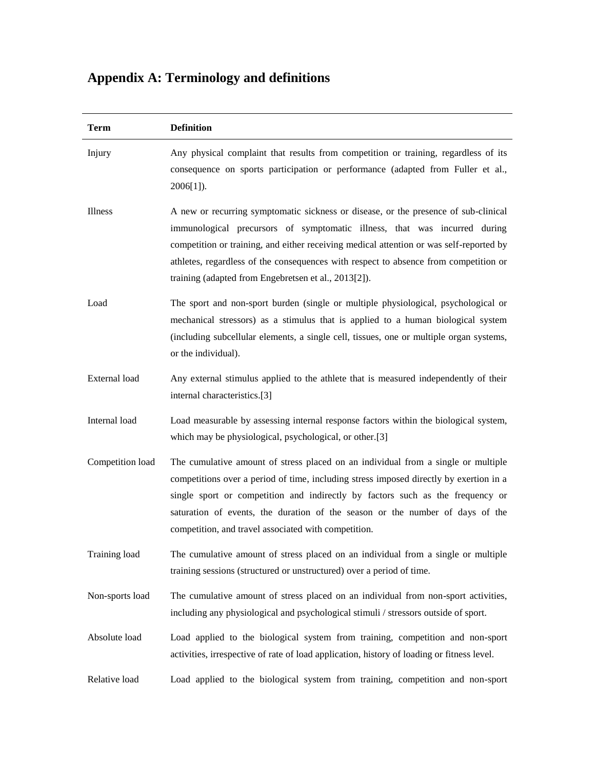## **Appendix A: Terminology and definitions**

| <b>Term</b>      | <b>Definition</b>                                                                                                                                                                                                                                                                                                                                                                                           |
|------------------|-------------------------------------------------------------------------------------------------------------------------------------------------------------------------------------------------------------------------------------------------------------------------------------------------------------------------------------------------------------------------------------------------------------|
| Injury           | Any physical complaint that results from competition or training, regardless of its<br>consequence on sports participation or performance (adapted from Fuller et al.,<br>$2006[1]$ ).                                                                                                                                                                                                                      |
| Illness          | A new or recurring symptomatic sickness or disease, or the presence of sub-clinical<br>immunological precursors of symptomatic illness, that was incurred during<br>competition or training, and either receiving medical attention or was self-reported by<br>athletes, regardless of the consequences with respect to absence from competition or<br>training (adapted from Engebretsen et al., 2013[2]). |
| Load             | The sport and non-sport burden (single or multiple physiological, psychological or<br>mechanical stressors) as a stimulus that is applied to a human biological system<br>(including subcellular elements, a single cell, tissues, one or multiple organ systems,<br>or the individual).                                                                                                                    |
| External load    | Any external stimulus applied to the athlete that is measured independently of their<br>internal characteristics.[3]                                                                                                                                                                                                                                                                                        |
| Internal load    | Load measurable by assessing internal response factors within the biological system,<br>which may be physiological, psychological, or other.[3]                                                                                                                                                                                                                                                             |
| Competition load | The cumulative amount of stress placed on an individual from a single or multiple<br>competitions over a period of time, including stress imposed directly by exertion in a<br>single sport or competition and indirectly by factors such as the frequency or<br>saturation of events, the duration of the season or the number of days of the<br>competition, and travel associated with competition.      |
| Training load    | The cumulative amount of stress placed on an individual from a single or multiple<br>training sessions (structured or unstructured) over a period of time.                                                                                                                                                                                                                                                  |
| Non-sports load  | The cumulative amount of stress placed on an individual from non-sport activities,<br>including any physiological and psychological stimuli / stressors outside of sport.                                                                                                                                                                                                                                   |
| Absolute load    | Load applied to the biological system from training, competition and non-sport<br>activities, irrespective of rate of load application, history of loading or fitness level.                                                                                                                                                                                                                                |
| Relative load    | Load applied to the biological system from training, competition and non-sport                                                                                                                                                                                                                                                                                                                              |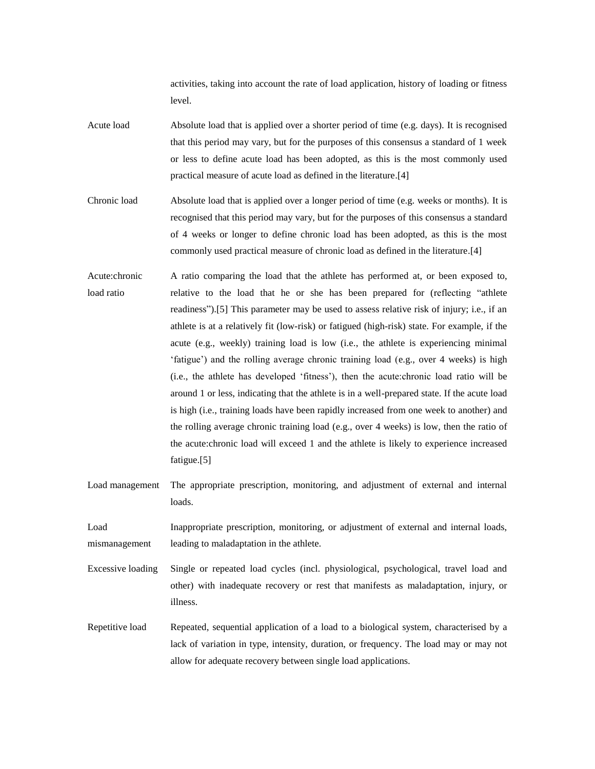activities, taking into account the rate of load application, history of loading or fitness level.

- Acute load Absolute load that is applied over a shorter period of time (e.g. days). It is recognised that this period may vary, but for the purposes of this consensus a standard of 1 week or less to define acute load has been adopted, as this is the most commonly used practical measure of acute load as defined in the literature.[4]
- Chronic load Absolute load that is applied over a longer period of time (e.g. weeks or months). It is recognised that this period may vary, but for the purposes of this consensus a standard of 4 weeks or longer to define chronic load has been adopted, as this is the most commonly used practical measure of chronic load as defined in the literature.[4]
- Acute:chronic load ratio A ratio comparing the load that the athlete has performed at, or been exposed to, relative to the load that he or she has been prepared for (reflecting "athlete readiness").[5] This parameter may be used to assess relative risk of injury; i.e., if an athlete is at a relatively fit (low-risk) or fatigued (high-risk) state. For example, if the acute (e.g., weekly) training load is low (i.e., the athlete is experiencing minimal 'fatigue') and the rolling average chronic training load (e.g., over 4 weeks) is high (i.e., the athlete has developed 'fitness'), then the acute:chronic load ratio will be around 1 or less, indicating that the athlete is in a well-prepared state. If the acute load is high (i.e., training loads have been rapidly increased from one week to another) and the rolling average chronic training load (e.g., over 4 weeks) is low, then the ratio of the acute:chronic load will exceed 1 and the athlete is likely to experience increased fatigue.[5]
- Load management The appropriate prescription, monitoring, and adjustment of external and internal loads.

Load mismanagement Inappropriate prescription, monitoring, or adjustment of external and internal loads, leading to maladaptation in the athlete.

Excessive loading Single or repeated load cycles (incl. physiological, psychological, travel load and other) with inadequate recovery or rest that manifests as maladaptation, injury, or illness.

Repetitive load Repeated, sequential application of a load to a biological system, characterised by a lack of variation in type, intensity, duration, or frequency. The load may or may not allow for adequate recovery between single load applications.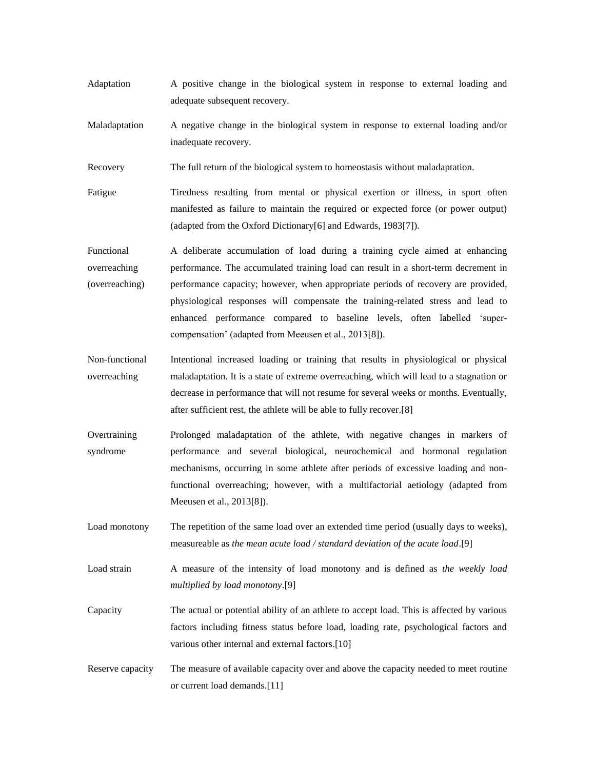- Adaptation A positive change in the biological system in response to external loading and adequate subsequent recovery.
- Maladaptation A negative change in the biological system in response to external loading and/or inadequate recovery.

Recovery The full return of the biological system to homeostasis without maladaptation.

- Fatigue Tiredness resulting from mental or physical exertion or illness, in sport often manifested as failure to maintain the required or expected force (or power output) (adapted from the Oxford Dictionary[6] and Edwards, 1983[7]).
- Functional overreaching (overreaching) A deliberate accumulation of load during a training cycle aimed at enhancing performance. The accumulated training load can result in a short-term decrement in performance capacity; however, when appropriate periods of recovery are provided, physiological responses will compensate the training-related stress and lead to enhanced performance compared to baseline levels, often labelled 'supercompensation' (adapted from Meeusen et al., 2013[8]).
- Non-functional overreaching Intentional increased loading or training that results in physiological or physical maladaptation. It is a state of extreme overreaching, which will lead to a stagnation or decrease in performance that will not resume for several weeks or months. Eventually, after sufficient rest, the athlete will be able to fully recover.[8]
- **Overtraining** syndrome Prolonged maladaptation of the athlete, with negative changes in markers of performance and several biological, neurochemical and hormonal regulation mechanisms, occurring in some athlete after periods of excessive loading and nonfunctional overreaching; however, with a multifactorial aetiology (adapted from Meeusen et al., 2013[8]).
- Load monotony The repetition of the same load over an extended time period (usually days to weeks), measureable as *the mean acute load / standard deviation of the acute load*.[9]
- Load strain A measure of the intensity of load monotony and is defined as *the weekly load multiplied by load monotony*.[9]
- Capacity The actual or potential ability of an athlete to accept load. This is affected by various factors including fitness status before load, loading rate, psychological factors and various other internal and external factors.[10]
- Reserve capacity The measure of available capacity over and above the capacity needed to meet routine or current load demands.[11]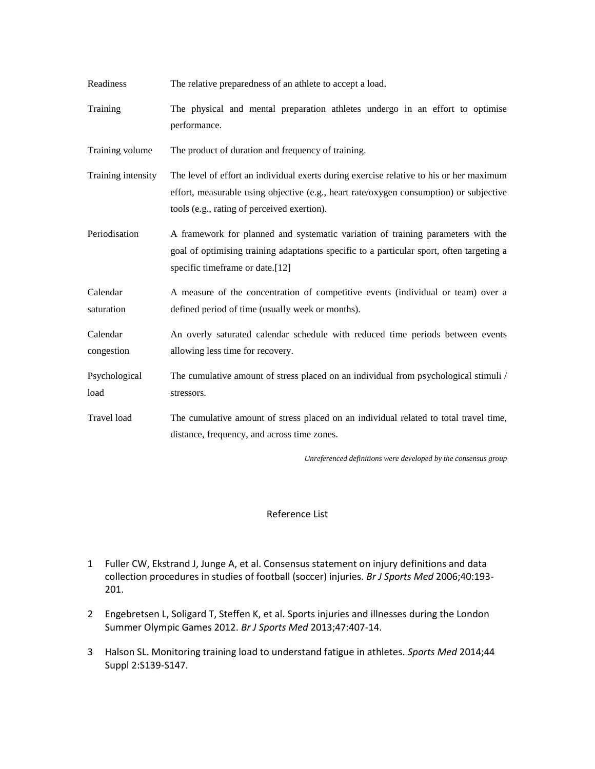| Readiness              | The relative preparedness of an athlete to accept a load.                                                                                                                                                                        |
|------------------------|----------------------------------------------------------------------------------------------------------------------------------------------------------------------------------------------------------------------------------|
| Training               | The physical and mental preparation athletes undergo in an effort to optimise<br>performance.                                                                                                                                    |
| Training volume        | The product of duration and frequency of training.                                                                                                                                                                               |
| Training intensity     | The level of effort an individual exerts during exercise relative to his or her maximum<br>effort, measurable using objective (e.g., heart rate/oxygen consumption) or subjective<br>tools (e.g., rating of perceived exertion). |
| Periodisation          | A framework for planned and systematic variation of training parameters with the<br>goal of optimising training adaptations specific to a particular sport, often targeting a<br>specific timeframe or date.[12]                 |
| Calendar<br>saturation | A measure of the concentration of competitive events (individual or team) over a<br>defined period of time (usually week or months).                                                                                             |
| Calendar<br>congestion | An overly saturated calendar schedule with reduced time periods between events<br>allowing less time for recovery.                                                                                                               |
| Psychological<br>load  | The cumulative amount of stress placed on an individual from psychological stimuli /<br>stressors.                                                                                                                               |
| Travel load            | The cumulative amount of stress placed on an individual related to total travel time,<br>distance, frequency, and across time zones.                                                                                             |
|                        | Unreferenced definitions were developed by the consensus group                                                                                                                                                                   |

## Reference List

- 1 Fuller CW, Ekstrand J, Junge A, et al. Consensus statement on injury definitions and data collection procedures in studies of football (soccer) injuries. *Br J Sports Med* 2006;40:193- 201.
- 2 Engebretsen L, Soligard T, Steffen K, et al. Sports injuries and illnesses during the London Summer Olympic Games 2012. *Br J Sports Med* 2013;47:407-14.
- 3 Halson SL. Monitoring training load to understand fatigue in athletes. *Sports Med* 2014;44 Suppl 2:S139-S147.